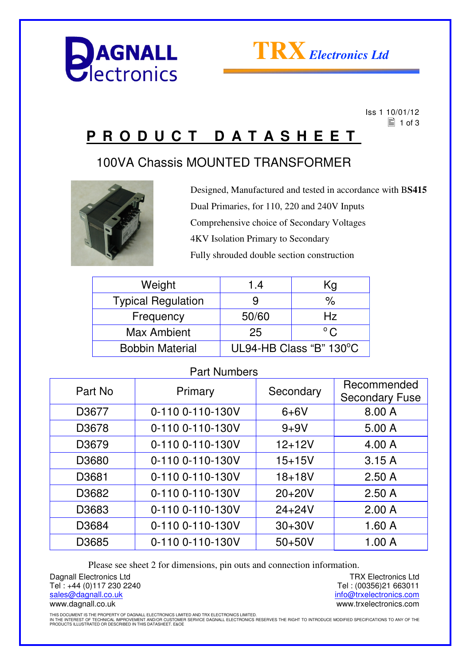



 Iss 1 10/01/12  $\equiv$  1 of 3

## **P R O D U C T D A T A S H E E T**

## 100VA Chassis MOUNTED TRANSFORMER



Designed, Manufactured and tested in accordance with B**S415** Dual Primaries, for 110, 220 and 240V Inputs Comprehensive choice of Secondary Voltages 4KV Isolation Primary to Secondary Fully shrouded double section construction

| Weight                    | 1.4                     | Κg                 |
|---------------------------|-------------------------|--------------------|
| <b>Typical Regulation</b> |                         | $\frac{1}{\alpha}$ |
| Frequency                 | 50/60                   | Hz                 |
| Max Ambient               | 25                      | $^{\circ}$ C       |
| <b>Bobbin Material</b>    | UL94-HB Class "B" 130°C |                    |

### Part Numbers

| Part No | Primary          | Secondary  | Recommended<br><b>Secondary Fuse</b> |
|---------|------------------|------------|--------------------------------------|
| D3677   | 0-110 0-110-130V | $6+6V$     | 8.00 A                               |
| D3678   | 0-110 0-110-130V | $9 + 9V$   | 5.00A                                |
| D3679   | 0-110 0-110-130V | $12 + 12V$ | 4.00 A                               |
| D3680   | 0-110 0-110-130V | $15 + 15V$ | 3.15A                                |
| D3681   | 0-110 0-110-130V | $18 + 18V$ | 2.50A                                |
| D3682   | 0-110 0-110-130V | $20+20V$   | 2.50A                                |
| D3683   | 0-110 0-110-130V | $24 + 24V$ | 2.00A                                |
| D3684   | 0-110 0-110-130V | $30 + 30V$ | 1.60A                                |
| D3685   | 0-110 0-110-130V | $50+50V$   | 1.00A                                |

Please see sheet 2 for dimensions, pin outs and connection information.

Dagnall Electronics Ltd Tel : +44 (0)117 230 2240 sales@dagnall.co.uk www.dagnall.co.uk

TRX Electronics Ltd Tel : (00356)21 663011 info@trxelectronics.com www.trxelectronics.com

THIS DOCUMENT IS THE PROPERTY OF DAGNALL ELECTRONICS LIMITED AND TRX ELECTRONICS LIMITED.<br>IN THE INTEREST OF TECHNICAL IMPROVEMENT AND/OR CUSTOMER SERVICE DAGNALL ELECTRONICS RESERVES THE RIGHT TO INTRODUCE MODIFIED SPECIF

PRODUCTS ILLUSTRATED OR DESCRIBED IN THIS DATASHEET. E&OE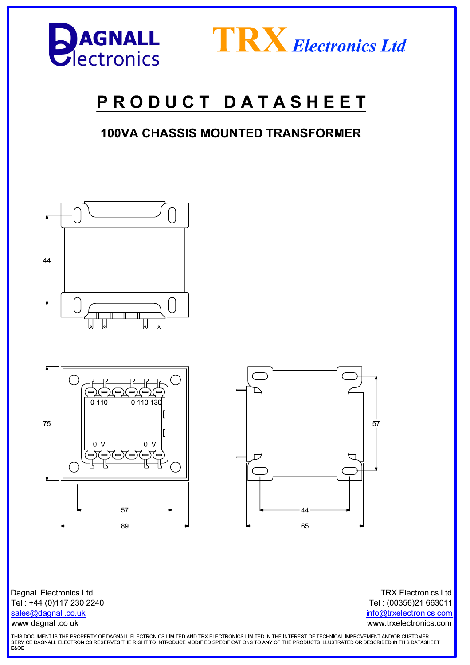



# PRODUCT DATASHEET

## **100VA CHASSIS MOUNTED TRANSFORMER**







**Dagnall Electronics Ltd** Tel: +44 (0)117 230 2240 sales@dagnall.co.uk www.dagnall.co.uk

**TRX Electronics Ltd** Tel: (00356)21 663011 info@trxelectronics.com www.trxelectronics.com

THIS DOCUMENT IS THE PROPERTY OF DAGNALL ELECTRONICS LIMITED AND TRX ELECTRONICS LIMITED.IN THE INTEREST OF TECHNICAL IMPROVEMENT AND/OR CUSTOMER SERVICE DAGNALL ELECTRONICS RESERVES THE RIGHT TO INTRODUCE MODIFIED SPECIFICATIONS TO ANY OF THE PRODUCTS ILLUSTRATED OR DESCRIBED IN THIS DATASHEET.<br>E&OE